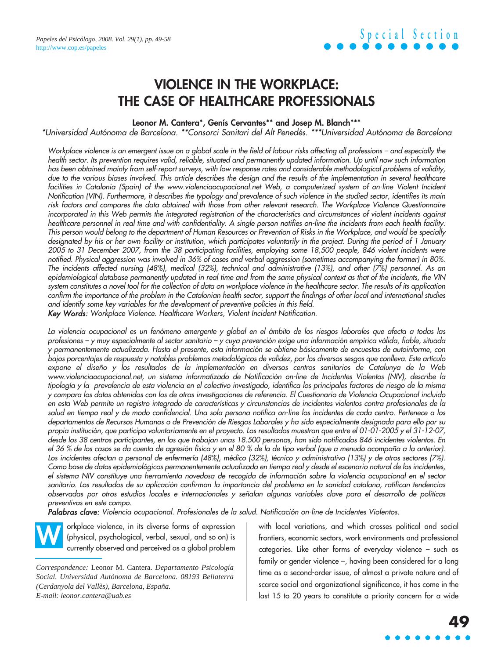### **VIOLENCE IN THE WORKPLACE: THE CASE OF HEALTHCARE PROFESSIONALS**

**Leonor M. Cantera\*, Genís Cervantes\*\* and Josep M. Blanch\*\*\***

\*Universidad Autónoma de Barcelona. \*\*Consorci Sanitari del Alt Penedés. \*\*\*Universidad Autónoma de Barcelona

Workplace violence is an emergent issue on a global scale in the field of labour risks affecting all professions – and especially the health sector. Its prevention requires valid, reliable, situated and permanently updated information. Up until now such information has been obtained mainly from self-report surveys, with low response rates and considerable methodological problems of validity, due to the various biases involved. This article describes the design and the results of the implementation in several healthcare facilities in Catalonia (Spain) of the www.violenciaocupacional.net Web, a computerized system of on-line Violent Incident Notification (VIN). Furthermore, it describes the typology and prevalence of such violence in the studied sector, identifies its main risk factors and compares the data obtained with those from other relevant research. The Workplace Violence Questionnaire incorporated in this Web permits the integrated registration of the characteristics and circumstances of violent incidents against healthcare personnel in real time and with confidentiality. A single person notifies on-line the incidents from each health facility. This person would belong to the department of Human Resources or Prevention of Risks in the Workplace, and would be specially designated by his or her own facility or institution, which participates voluntarily in the project. During the period of 1 January 2005 to 31 December 2007, from the 38 participating facilities, employing some 18,500 people, 846 violent incidents were notified. Physical aggression was involved in 36% of cases and verbal aggression (sometimes accompanying the former) in 80%. The incidents affected nursing (48%), medical (32%), technical and administrative (13%), and other (7%) personnel. As an epidemiological database permanently updated in real time and from the same physical context as that of the incidents, the VIN system constitutes a novel tool for the collection of data on workplace violence in the healthcare sector. The results of its application confirm the importance of the problem in the Catalonian health sector, support the findings of other local and international studies and identify some key variables for the development of preventive policies in this field.

Key Words: Workplace Violence. Healthcare Workers, Violent Incident Notification.

La violencia ocupacional es un fenómeno emergente y global en el ámbito de los riesgos laborales que afecta a todas las profesiones – y muy especialmente al sector sanitario – y cuya prevención exige una información empírica válida, fiable, situada y permanentemente actualizada. Hasta el presente, esta información se obtiene básicamente de encuestas de autoinforme, con bajos porcentajes de respuesta y notables problemas metodológicos de validez, por los diversos sesgos que conlleva. Este artículo expone el diseño y los resultados de la implementación en diversos centros sanitarios de Catalunya de la Web www.violenciaocupacional.net, un sistema informatizado de Notificación on-line de Incidentes Violentos (NIV), describe la tipología y la prevalencia de esta violencia en el colectivo investigado, identifica los principales factores de riesgo de la misma y compara los datos obtenidos con los de otras investigaciones de referencia. El Cuestionario de Violencia Ocupacional incluido en esta Web permite un registro integrado de características y circunstancias de incidentes violentos contra profesionales de la salud en tiempo real y de modo confidencial. Una sola persona notifica on-line los incidentes de cada centro. Pertenece a los departamentos de Recursos Humanos o de Prevención de Riesgos Laborales y ha sido especialmente designada para ello por su propia institución, que participa voluntariamente en el proyecto. Los resultados muestran que entre el 01-01-2005 y el 31-12-07, desde los 38 centros participantes, en los que trabajan unas 18.500 personas, han sido notificados 846 incidentes violentos. En el 36 % de los casos se da cuenta de agresión física y en el 80 % de la de tipo verbal (que a menudo acompaña a la anterior). Los incidentes afectan a personal de enfermería (48%), médico (32%), técnico y administrativo (13%) y de otros sectores (7%). Como base de datos epidemiológicos permanentemente actualizada en tiempo real y desde el escenario natural de los incidentes, el sistema NIV constituye una herramienta novedosa de recogida de información sobre la violencia ocupacional en el sector sanitario. Los resultados de su aplicación confirman la importancia del problema en la sanidad catalana, ratifican tendencias observadas por otros estudios locales e internacionales y señalan algunas variables clave para el desarrollo de políticas preventivas en este campo.

Palabras clave: Violencia ocupacional. Profesionales de la salud. Notificación on-line de Incidentes Violentos.

orkplace violence, in its diverse forms of expression (physical, psychological, verbal, sexual, and so on) is currently observed and perceived as a global problem **W**

*Correspondence:* Leonor M. Cantera. *Departamento Psicología Social. Universidad Autónoma de Barcelona. 08193 Bellaterra (Cerdanyola del Vallès), Barcelona, España. E-mail: leonor.cantera@uab.es*

with local variations, and which crosses political and social frontiers, economic sectors, work environments and professional categories. Like other forms of everyday violence – such as family or gender violence –, having been considered for a long time as a second-order issue, of almost a private nature and of scarce social and organizational significance, it has come in the last 15 to 20 years to constitute a priority concern for a wide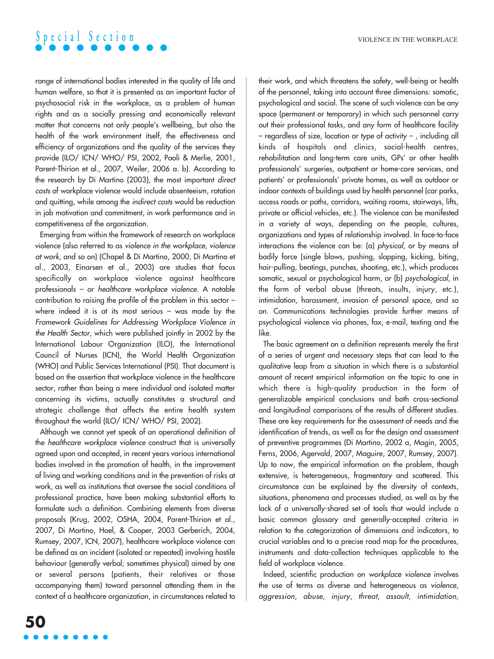range of international bodies interested in the quality of life and human welfare, so that it is presented as an important factor of psychosocial risk in the workplace, as a problem of human rights and as a socially pressing and economically relevant matter that concerns not only people's wellbeing, but also the health of the work environment itself, the effectiveness and efficiency of organizations and the quality of the services they provide (ILO/ ICN/ WHO/ PSI, 2002, Paoli & Merlie, 2001, Parent-Thirion et al., 2007, Weiler, 2006 a. b). According to the research by Di Martino (2003), the most important direct costs of workplace violence would include absenteeism, rotation and quitting, while among the indirect costs would be reduction in job motivation and commitment, in work performance and in competitiveness of the organization.

Emerging from within the framework of research on workplace violence (also referred to as violence in the workplace, violence at work, and so on) (Chapel & Di Martino, 2000, Di Martino et al., 2003, Einarsen et al., 2003) are studies that focus specifically on workplace violence against healthcare professionals – or healthcare workplace violence. A notable contribution to raising the profile of the problem in this sector – where indeed it is at its most serious – was made by the Framework Guidelines for Addressing Workplace Violence in the Health Sector, which were published jointly in 2002 by the International Labour Organization (ILO), the International Council of Nurses (ICN), the World Health Organization (WHO) and Public Services International (PSI). That document is based on the assertion that workplace violence in the healthcare sector, rather than being a mere individual and isolated matter concerning its victims, actually constitutes a structural and strategic challenge that affects the entire health system throughout the world (ILO/ ICN/ WHO/ PSI, 2002).

Although we cannot yet speak of an operational definition of the healthcare workplace violence construct that is universally agreed upon and accepted, in recent years various international bodies involved in the promotion of health, in the improvement of living and working conditions and in the prevention of risks at work, as well as institutions that oversee the social conditions of professional practice, have been making substantial efforts to formulate such a definition. Combining elements from diverse proposals (Krug, 2002, OSHA, 2004, Parent-Thirion et al., 2007, Di Martino, Hoel, & Cooper, 2003 Gerberich, 2004, Rumsey, 2007, ICN, 2007), healthcare workplace violence can be defined as an incident (isolated or repeated) involving hostile behaviour (generally verbal; sometimes physical) aimed by one or several persons (patients, their relatives or those accompanying them) toward personnel attending them in the context of a healthcare organization, in circumstances related to their work, and which threatens the safety, well-being or health of the personnel, taking into account three dimensions: somatic, psychological and social. The scene of such violence can be any space (permanent or temporary) in which such personnel carry out their professional tasks, and any form of healthcare facility – regardless of size, location or type of activity – , including all kinds of hospitals and clinics, social-health centres, rehabilitation and long-term care units, GPs' or other health professionals' surgeries, outpatient or home-care services, and patients' or professionals' private homes, as well as outdoor or indoor contexts of buildings used by health personnel (car parks, access roads or paths, corridors, waiting rooms, stairways, lifts, private or official vehicles, etc.). The violence can be manifested in a variety of ways, depending on the people, cultures, organizations and types of relationship involved. In face-to-face interactions the violence can be: (a) physical, or by means of bodily force (single blows, pushing, slapping, kicking, biting, hair-pulling, beatings, punches, shooting, etc.), which produces somatic, sexual or psychological harm, or (b) psychological, in the form of verbal abuse (threats, insults, injury, etc.), intimidation, harassment, invasion of personal space, and so on. Communications technologies provide further means of psychological violence via phones, fax, e-mail, texting and the like.

The basic agreement on a definition represents merely the first of a series of urgent and necessary steps that can lead to the qualitative leap from a situation in which there is a substantial amount of recent empirical information on the topic to one in which there is high-quality production in the form of generalizable empirical conclusions and both cross-sectional and longitudinal comparisons of the results of different studies. These are key requirements for the assessment of needs and the identification of trends, as well as for the design and assessment of preventive programmes (Di Martino, 2002 a, Magin, 2005, Ferns, 2006, Agervold, 2007, Maguire, 2007, Rumsey, 2007). Up to now, the empirical information on the problem, though extensive, is heterogeneous, fragmentary and scattered. This circumstance can be explained by the diversity of contexts, situations, phenomena and processes studied, as well as by the lack of a universally-shared set of tools that would include a basic common glossary and generally-accepted criteria in relation to the categorization of dimensions and indicators, to crucial variables and to a precise road map for the procedures, instruments and data-collection techniques applicable to the field of workplace violence.

Indeed, scientific production on workplace violence involves the use of terms as diverse and heterogeneous as violence, aggression, abuse, injury, threat, assault, intimidation,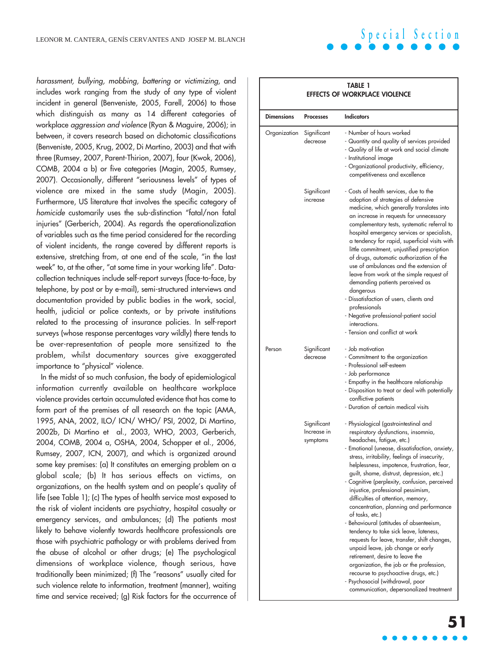**TABLE 1**

**EFFECTS OF WORKPLACE VIOLENCE**

harassment, bullying, mobbing, battering or victimizing, and includes work ranging from the study of any type of violent incident in general (Benveniste, 2005, Farell, 2006) to those which distinguish as many as 14 different categories of workplace aggression and violence (Ryan & Maguire, 2006); in between, it covers research based on dichotomic classifications (Benveniste, 2005, Krug, 2002, Di Martino, 2003) and that with three (Rumsey, 2007, Parent-Thirion, 2007), four (Kwok, 2006), COMB, 2004 a b) or five categories (Magin, 2005, Rumsey, 2007). Occasionally, different "seriousness levels" of types of violence are mixed in the same study (Magin, 2005). Furthermore, US literature that involves the specific category of homicide customarily uses the sub-distinction "fatal/non fatal injuries" (Gerberich, 2004). As regards the operationalization of variables such as the time period considered for the recording of violent incidents, the range covered by different reports is extensive, stretching from, at one end of the scale, "in the last week" to, at the other, "at some time in your working life". Datacollection techniques include self-report surveys (face-to-face, by telephone, by post or by e-mail), semi-structured interviews and documentation provided by public bodies in the work, social, health, judicial or police contexts, or by private institutions related to the processing of insurance policies. In self-report surveys (whose response percentages vary wildly) there tends to be over-representation of people more sensitized to the problem, whilst documentary sources give exaggerated importance to "physical" violence.

In the midst of so much confusion, the body of epidemiological information currently available on healthcare workplace violence provides certain accumulated evidence that has come to form part of the premises of all research on the topic (AMA, 1995, ANA, 2002, ILO/ ICN/ WHO/ PSI, 2002, Di Martino, 2002b, Di Martino et al., 2003, WHO, 2003, Gerberich, 2004, COMB, 2004 a, OSHA, 2004, Schopper et al., 2006, Rumsey, 2007, ICN, 2007), and which is organized around some key premises: (a) It constitutes an emerging problem on a global scale; (b) It has serious effects on victims, on organizations, on the health system and on people's quality of life (see Table 1); (c) The types of health service most exposed to the risk of violent incidents are psychiatry, hospital casualty or emergency services, and ambulances; (d) The patients most likely to behave violently towards healthcare professionals are those with psychiatric pathology or with problems derived from the abuse of alcohol or other drugs; (e) The psychological dimensions of workplace violence, though serious, have traditionally been minimized; (f) The "reasons" usually cited for such violence relate to information, treatment (manner), waiting time and service received; (g) Risk factors for the occurrence of

| <b>Dimensions</b> | <b>Processes</b>                       | <b>Indicators</b>                                                                                                                                                                                                                                                                                                                                                                                                                                                                                                                                                                                                                                                                                                                                                                                                                                                                     |
|-------------------|----------------------------------------|---------------------------------------------------------------------------------------------------------------------------------------------------------------------------------------------------------------------------------------------------------------------------------------------------------------------------------------------------------------------------------------------------------------------------------------------------------------------------------------------------------------------------------------------------------------------------------------------------------------------------------------------------------------------------------------------------------------------------------------------------------------------------------------------------------------------------------------------------------------------------------------|
| Organization      | Significant<br>decrease                | - Number of hours worked<br>- Quantity and quality of services provided<br>- Quality of life at work and social climate<br>- Institutional image<br>- Organizational productivity, efficiency,<br>competitiveness and excellence                                                                                                                                                                                                                                                                                                                                                                                                                                                                                                                                                                                                                                                      |
|                   | Significant<br>increase                | - Costs of health services, due to the<br>adoption of strategies of defensive<br>medicine, which generally translates into<br>an increase in requests for unnecessary<br>complementary tests, systematic referral to<br>hospital emergency services or specialists,<br>a tendency for rapid, superficial visits with<br>little commitment, unjustified prescription<br>of drugs, automatic authorization of the<br>use of ambulances and the extension of<br>leave from work at the simple request of<br>demanding patients perceived as<br>dangerous<br>- Dissatisfaction of users, clients and<br>professionals<br>- Negative professional-patient social<br>interactions.<br>- Tension and conflict at work                                                                                                                                                                        |
| Person            | Significant<br>decrease                | - Job motivation<br>- Commitment to the organization<br>- Professional self-esteem<br>- Job performance<br>- Empathy in the healthcare relationship<br>- Disposition to treat or deal with potentially<br>conflictive patients<br>- Duration of certain medical visits                                                                                                                                                                                                                                                                                                                                                                                                                                                                                                                                                                                                                |
|                   | Significant<br>Increase in<br>symptoms | - Physiological (gastrointestinal and<br>respiratory dysfunctions, insomnia,<br>headaches, fatigue, etc.)<br>- Emotional (unease, dissatisfaction, anxiety,<br>stress, irritability, feelings of insecurity,<br>helplessness, impotence, frustration, fear,<br>guilt, shame, distrust, depression, etc.)<br>- Cognitive (perplexity, confusion, perceived<br>injustice, professional pessimism,<br>difficulties of attention, memory,<br>concentration, planning and performance<br>of tasks, etc.)<br>- Behavioural (attitudes of absenteeism,<br>tendency to take sick leave, lateness,<br>requests for leave, transfer, shift changes,<br>unpaid leave, job change or early<br>retirement, desire to leave the<br>organization, the job or the profession,<br>recourse to psychoactive drugs, etc.)<br>- Psychosocial (withdrawal, poor<br>communication, depersonalized treatment |

# **51**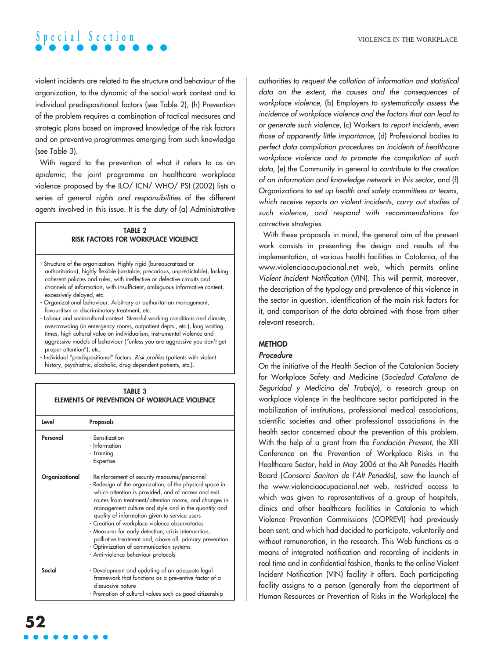violent incidents are related to the structure and behaviour of the organization, to the dynamic of the social-work context and to individual predispositional factors (see Table 2); (h) Prevention of the problem requires a combination of tactical measures and strategic plans based on improved knowledge of the risk factors and on preventive programmes emerging from such knowledge (see Table 3).

With regard to the prevention of what it refers to as an epidemic, the joint programme on healthcare workplace violence proposed by the ILO/ ICN/ WHO/ PSI (2002) lists a series of general rights and responsibilities of the different agents involved in this issue. It is the duty of (a) Administrative

### **TABLE 2 RISK FACTORS FOR WORKPLACE VIOLENCE**

- Structure of the organization. Highly rigid (bureaucratized or authoritarian), highly flexible (unstable, precarious, unpredictable), lacking coherent policies and rules, with ineffective or defective circuits and channels of information, with insufficient, ambiguous informative content, excessively delayed, etc.
- Organizational behaviour. Arbitrary or authoritarian management, favouritism or discriminatory treatment, etc.
- Labour and sociocultural context. Stressful working conditions and climate, overcrowding (in emergency rooms, outpatient depts., etc.), long waiting times, high cultural value on individualism, instrumental violence and aggressive models of behaviour ("unless you are aggressive you don't get proper attention"), etc.

- Individual "predispositional" factors. Risk profiles (patients with violent history, psychiatric, alcoholic, drug-dependent patients, etc.).

#### **TABLE 3 ELEMENTS OF PREVENTION OF WORKPLACE VIOLENCE**

| Level          | Proposals                                                                                                                                                                                                                                                                                                                                                                                                                                                                                                                                                                                   |
|----------------|---------------------------------------------------------------------------------------------------------------------------------------------------------------------------------------------------------------------------------------------------------------------------------------------------------------------------------------------------------------------------------------------------------------------------------------------------------------------------------------------------------------------------------------------------------------------------------------------|
| Personal       | - Sensitization<br>- Information<br>- Training<br>- Expertise                                                                                                                                                                                                                                                                                                                                                                                                                                                                                                                               |
| Organizational | - Reinforcement of security measures/personnel<br>- Redesign of the organization, of the physical space in<br>which attention is provided, and of access and exit<br>routes from treatment/attention rooms, and changes in<br>management culture and style and in the quantity and<br>quality of information given to service users<br>- Creation of workplace violence observatories<br>- Measures for early detection, crisis intervention,<br>palliative treatment and, above all, primary prevention.<br>- Optimization of communication systems<br>- Anti-violence behaviour protocols |
| Social         | - Development and updating of an adequate legal<br>framework that functions as a preventive factor of a<br>dissuasive nature<br>- Promotion of cultural values such as good citizenship                                                                                                                                                                                                                                                                                                                                                                                                     |

authorities to request the collation of information and statistical data on the extent, the causes and the consequences of workplace violence, (b) Employers to systematically assess the incidence of workplace violence and the factors that can lead to or generate such violence, (c) Workers to report incidents, even those of apparently little importance, (d) Professional bodies to perfect data-compilation procedures on incidents of healthcare workplace violence and to promote the compilation of such data, (e) the Community in general to contribute to the creation of an information and knowledge network in this sector, and (f) Organizations to set up health and safety committees or teams, which receive reports on violent incidents, carry out studies of such violence, and respond with recommendations for corrective strategies.

With these proposals in mind, the general aim of the present work consists in presenting the design and results of the implementation, at various health facilities in Catalonia, of the www.violenciaocupacional.net web, which permits online Violent Incident Notification (VIN). This will permit, moreover, the description of the typology and prevalence of this violence in the sector in question, identification of the main risk factors for it, and comparison of the data obtained with those from other relevant research.

### **METHOD**

### Procedure

On the initiative of the Health Section of the Catalonian Society for Workplace Safety and Medicine (Sociedad Catalana de Seguridad y Medicina del Trabajo), a research group on workplace violence in the healthcare sector participated in the mobilization of institutions, professional medical associations, scientific societies and other professional associations in the health sector concerned about the prevention of this problem. With the help of a grant from the Fundación Prevent, the XIII Conference on the Prevention of Workplace Risks in the Healthcare Sector, held in May 2006 at the Alt Penedès Health Board (Consorci Sanitari de l'Alt Penedès), saw the launch of the www.violenciaocupacional.net web, restricted access to which was given to representatives of a group of hospitals, clinics and other healthcare facilities in Catalonia to which Violence Prevention Commissions (COPREVI) had previously been sent, and which had decided to participate, voluntarily and without remuneration, in the research. This Web functions as a means of integrated notification and recording of incidents in real time and in confidential fashion, thanks to the online Violent Incident Notification (VIN) facility it offers. Each participating facility assigns to a person (generally from the department of Human Resources or Prevention of Risks in the Workplace) the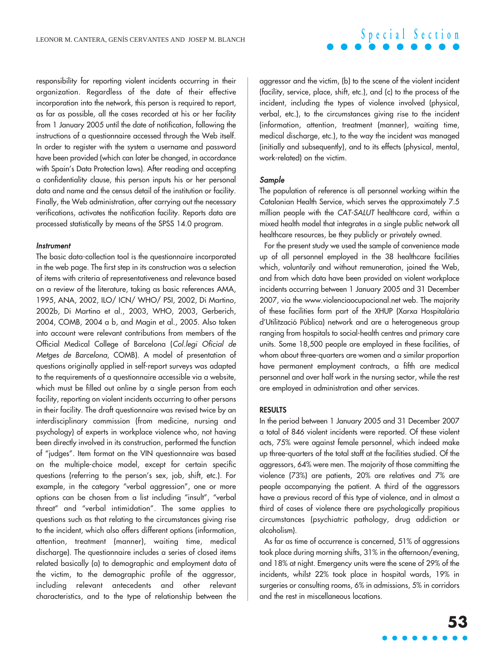responsibility for reporting violent incidents occurring in their organization. Regardless of the date of their effective incorporation into the network, this person is required to report, as far as possible, all the cases recorded at his or her facility from 1 January 2005 until the date of notification, following the instructions of a questionnaire accessed through the Web itself. In order to register with the system a username and password have been provided (which can later be changed, in accordance with Spain's Data Protection laws). After reading and accepting a confidentiality clause, this person inputs his or her personal data and name and the census detail of the institution or facility. Finally, the Web administration, after carrying out the necessary verifications, activates the notification facility. Reports data are processed statistically by means of the SPSS 14.0 program.

#### **Instrument**

The basic data-collection tool is the questionnaire incorporated in the web page. The first step in its construction was a selection of items with criteria of representativeness and relevance based on a review of the literature, taking as basic references AMA, 1995, ANA, 2002, ILO/ ICN/ WHO/ PSI, 2002, Di Martino, 2002b, Di Martino et al., 2003, WHO, 2003, Gerberich, 2004, COMB, 2004 a b, and Magin et al., 2005. Also taken into account were relevant contributions from members of the Official Medical College of Barcelona (Col.legi Oficial de Metges de Barcelona, COMB). A model of presentation of questions originally applied in self-report surveys was adapted to the requirements of a questionnaire accessible via a website, which must be filled out online by a single person from each facility, reporting on violent incidents occurring to other persons in their facility. The draft questionnaire was revised twice by an interdisciplinary commission (from medicine, nursing and psychology) of experts in workplace violence who, not having been directly involved in its construction, performed the function of "judges". Item format on the VIN questionnaire was based on the multiple-choice model, except for certain specific questions (referring to the person's sex, job, shift, etc.). For example, in the category "verbal aggression", one or more options can be chosen from a list including "insult", "verbal threat" and "verbal intimidation". The same applies to questions such as that relating to the circumstances giving rise to the incident, which also offers different options (information, attention, treatment (manner), waiting time, medical discharge). The questionnaire includes a series of closed items related basically (a) to demographic and employment data of the victim, to the demographic profile of the aggressor, including relevant antecedents and other relevant characteristics, and to the type of relationship between the

aggressor and the victim, (b) to the scene of the violent incident (facility, service, place, shift, etc.), and (c) to the process of the incident, including the types of violence involved (physical, verbal, etc.), to the circumstances giving rise to the incident (information, attention, treatment (manner), waiting time, medical discharge, etc.), to the way the incident was managed (initially and subsequently), and to its effects (physical, mental, work-related) on the victim.

#### Sample

The population of reference is all personnel working within the Catalonian Health Service, which serves the approximately 7.5 million people with the CAT-SALUT healthcare card, within a mixed health model that integrates in a single public network all healthcare resources, be they publicly or privately owned.

For the present study we used the sample of convenience made up of all personnel employed in the 38 healthcare facilities which, voluntarily and without remuneration, joined the Web, and from which data have been provided on violent workplace incidents occurring between 1 January 2005 and 31 December 2007, via the www.violenciaocupacional.net web. The majority of these facilities form part of the XHUP (Xarxa Hospitalària d'Utilització Pública) network and are a heterogeneous group ranging from hospitals to social-health centres and primary care units. Some 18,500 people are employed in these facilities, of whom about three-quarters are women and a similar proportion have permanent employment contracts, a fifth are medical personnel and over half work in the nursing sector, while the rest are employed in administration and other services.

#### **RESULTS**

In the period between 1 January 2005 and 31 December 2007 a total of 846 violent incidents were reported. Of these violent acts, 75% were against female personnel, which indeed make up three-quarters of the total staff at the facilities studied. Of the aggressors, 64% were men. The majority of those committing the violence (73%) are patients, 20% are relatives and 7% are people accompanying the patient. A third of the aggressors have a previous record of this type of violence, and in almost a third of cases of violence there are psychologically propitious circumstances (psychiatric pathology, drug addiction or alcoholism).

As far as time of occurrence is concerned, 51% of aggressions took place during morning shifts, 31% in the afternoon/evening, and 18% at night. Emergency units were the scene of 29% of the incidents, whilst 22% took place in hospital wards, 19% in surgeries or consulting rooms, 6% in admissions, 5% in corridors and the rest in miscellaneous locations.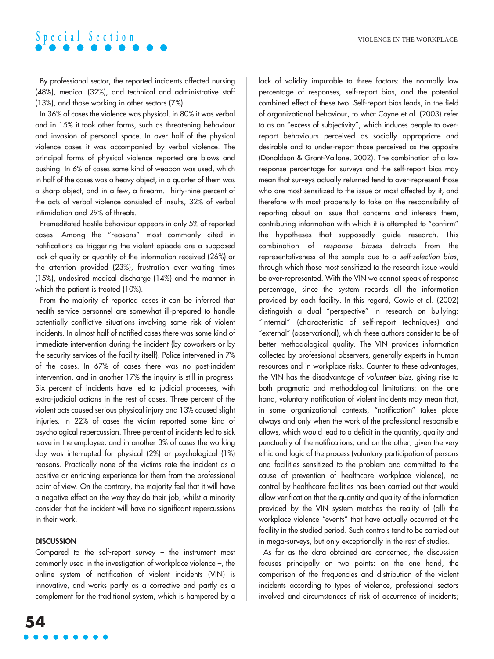By professional sector, the reported incidents affected nursing (48%), medical (32%), and technical and administrative staff (13%), and those working in other sectors (7%).

In 36% of cases the violence was physical, in 80% it was verbal and in 15% it took other forms, such as threatening behaviour and invasion of personal space. In over half of the physical violence cases it was accompanied by verbal violence. The principal forms of physical violence reported are blows and pushing. In 6% of cases some kind of weapon was used, which in half of the cases was a heavy object, in a quarter of them was a sharp object, and in a few, a firearm. Thirty-nine percent of the acts of verbal violence consisted of insults, 32% of verbal intimidation and 29% of threats.

Premeditated hostile behaviour appears in only 5% of reported cases. Among the "reasons" most commonly cited in notifications as triggering the violent episode are a supposed lack of quality or quantity of the information received (26%) or the attention provided (23%), frustration over waiting times (15%), undesired medical discharge (14%) and the manner in which the patient is treated (10%).

From the majority of reported cases it can be inferred that health service personnel are somewhat ill-prepared to handle potentially conflictive situations involving some risk of violent incidents. In almost half of notified cases there was some kind of immediate intervention during the incident (by coworkers or by the security services of the facility itself). Police intervened in 7% of the cases. In 67% of cases there was no post-incident intervention, and in another 17% the inquiry is still in progress. Six percent of incidents have led to judicial processes, with extra-judicial actions in the rest of cases. Three percent of the violent acts caused serious physical injury and 13% caused slight injuries. In 22% of cases the victim reported some kind of psychological repercussion. Three percent of incidents led to sick leave in the employee, and in another 3% of cases the working day was interrupted for physical (2%) or psychological (1%) reasons. Practically none of the victims rate the incident as a positive or enriching experience for them from the professional point of view. On the contrary, the majority feel that it will have a negative effect on the way they do their job, whilst a minority consider that the incident will have no significant repercussions in their work.

### **DISCUSSION**

Compared to the self-report survey – the instrument most commonly used in the investigation of workplace violence –, the online system of notification of violent incidents (VIN) is innovative, and works partly as a corrective and partly as a complement for the traditional system, which is hampered by a

**54**

lack of validity imputable to three factors: the normally low percentage of responses, self-report bias, and the potential combined effect of these two. Self-report bias leads, in the field of organizational behaviour, to what Coyne et al. (2003) refer to as an "excess of subjectivity", which induces people to overreport behaviours perceived as socially appropriate and desirable and to under-report those perceived as the opposite (Donaldson & Grant-Vallone, 2002). The combination of a low response percentage for surveys and the self-report bias may mean that surveys actually returned tend to over-represent those who are most sensitized to the issue or most affected by it, and therefore with most propensity to take on the responsibility of reporting about an issue that concerns and interests them, contributing information with which it is attempted to "confirm" the hypotheses that supposedly guide research. This combination of response biases detracts from the representativeness of the sample due to a self-selection bias, through which those most sensitized to the research issue would be over-represented. With the VIN we cannot speak of response percentage, since the system records all the information provided by each facility. In this regard, Cowie et al. (2002) distinguish a dual "perspective" in research on bullying: "internal" (characteristic of self-report techniques) and "external" (observational), which these authors consider to be of better methodological quality. The VIN provides information collected by professional observers, generally experts in human resources and in workplace risks. Counter to these advantages, the VIN has the disadvantage of volunteer bias, giving rise to both pragmatic and methodological limitations: on the one hand, voluntary notification of violent incidents may mean that, in some organizational contexts, "notification" takes place always and only when the work of the professional responsible allows, which would lead to a deficit in the quantity, quality and punctuality of the notifications; and on the other, given the very ethic and logic of the process (voluntary participation of persons and facilities sensitized to the problem and committed to the cause of prevention of healthcare workplace violence), no control by healthcare facilities has been carried out that would allow verification that the quantity and quality of the information provided by the VIN system matches the reality of (all) the workplace violence "events" that have actually occurred at the facility in the studied period. Such controls tend to be carried out in mega-surveys, but only exceptionally in the rest of studies.

As far as the data obtained are concerned, the discussion focuses principally on two points: on the one hand, the comparison of the frequencies and distribution of the violent incidents according to types of violence, professional sectors involved and circumstances of risk of occurrence of incidents;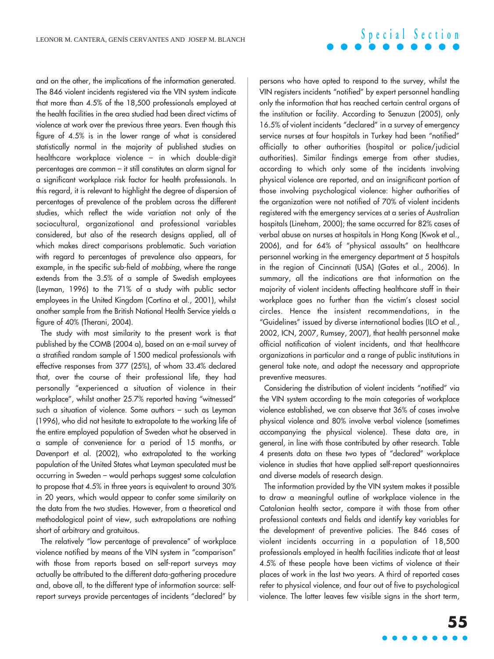and on the other, the implications of the information generated. The 846 violent incidents registered via the VIN system indicate that more than 4.5% of the 18,500 professionals employed at the health facilities in the area studied had been direct victims of violence at work over the previous three years. Even though this figure of 4.5% is in the lower range of what is considered statistically normal in the majority of published studies on healthcare workplace violence – in which double-digit percentages are common – it still constitutes an alarm signal for a significant workplace risk factor for health professionals. In this regard, it is relevant to highlight the degree of dispersion of percentages of prevalence of the problem across the different studies, which reflect the wide variation not only of the sociocultural, organizational and professional variables considered, but also of the research designs applied, all of which makes direct comparisons problematic. Such variation with regard to percentages of prevalence also appears, for example, in the specific sub-field of mobbing, where the range extends from the 3.5% of a sample of Swedish employees (Leyman, 1996) to the 71% of a study with public sector employees in the United Kingdom (Cortina et al., 2001), whilst another sample from the British National Health Service yields a figure of 40% (Therani, 2004).

The study with most similarity to the present work is that published by the COMB (2004 a), based on an e-mail survey of a stratified random sample of 1500 medical professionals with effective responses from 377 (25%), of whom 33.4% declared that, over the course of their professional life, they had personally "experienced a situation of violence in their workplace", whilst another 25.7% reported having "witnessed" such a situation of violence. Some authors – such as Leyman (1996), who did not hesitate to extrapolate to the working life of the entire employed population of Sweden what he observed in a sample of convenience for a period of 15 months, or Davenport et al. (2002), who extrapolated to the working population of the United States what Leyman speculated must be occurring in Sweden – would perhaps suggest some calculation to propose that 4.5% in three years is equivalent to around 30% in 20 years, which would appear to confer some similarity on the data from the two studies. However, from a theoretical and methodological point of view, such extrapolations are nothing short of arbitrary and gratuitous.

The relatively "low percentage of prevalence" of workplace violence notified by means of the VIN system in "comparison" with those from reports based on self-report surveys may actually be attributed to the different data-gathering procedure and, above all, to the different type of information source: selfreport surveys provide percentages of incidents "declared" by

persons who have opted to respond to the survey, whilst the VIN registers incidents "notified" by expert personnel handling only the information that has reached certain central organs of the institution or facility. According to Senuzun (2005), only 16.5% of violent incidents "declared" in a survey of emergency service nurses at four hospitals in Turkey had been "notified" officially to other authorities (hospital or police/judicial authorities). Similar findings emerge from other studies, according to which only some of the incidents involving physical violence are reported, and an insignificant portion of those involving psychological violence: higher authorities of the organization were not notified of 70% of violent incidents registered with the emergency services at a series of Australian hospitals (Lineham, 2000); the same occurred for 82% cases of verbal abuse on nurses at hospitals in Hong Kong (Kwok et al., 2006), and for 64% of "physical assaults" on healthcare personnel working in the emergency department at 5 hospitals in the region of Cincinnati (USA) (Gates et al., 2006). In summary, all the indications are that information on the majority of violent incidents affecting healthcare staff in their workplace goes no further than the victim's closest social circles. Hence the insistent recommendations, in the "Guidelines" issued by diverse international bodies (ILO et al., 2002, ICN, 2007, Rumsey, 2007), that health personnel make official notification of violent incidents, and that healthcare organizations in particular and a range of public institutions in general take note, and adopt the necessary and appropriate preventive measures.

Considering the distribution of violent incidents "notified" via the VIN system according to the main categories of workplace violence established, we can observe that 36% of cases involve physical violence and 80% involve verbal violence (sometimes accompanying the physical violence). These data are, in general, in line with those contributed by other research. Table 4 presents data on these two types of "declared" workplace violence in studies that have applied self-report questionnaires and diverse models of research design.

The information provided by the VIN system makes it possible to draw a meaningful outline of workplace violence in the Catalonian health sector, compare it with those from other professional contexts and fields and identify key variables for the development of preventive policies. The 846 cases of violent incidents occurring in a population of 18,500 professionals employed in health facilities indicate that at least 4.5% of these people have been victims of violence at their places of work in the last two years. A third of reported cases refer to physical violence, and four out of five to psychological violence. The latter leaves few visible signs in the short term,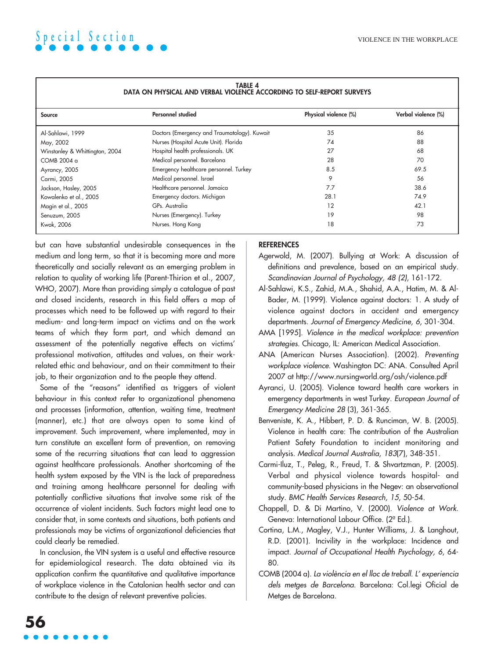| DATA ON PHYSICAL AND VERBAL VIOLENCE ACCORDING TO SELF-REPORT SURVEYS |                                              |                       |                     |  |  |
|-----------------------------------------------------------------------|----------------------------------------------|-----------------------|---------------------|--|--|
| Source                                                                | Personnel studied                            | Physical violence (%) | Verbal violence (%) |  |  |
| Al-Sahlawi, 1999                                                      | Doctors (Emergency and Traumatology). Kuwait | 35                    | 86                  |  |  |
| May, 2002                                                             | Nurses (Hospital Acute Unit). Florida        | 74                    | 88                  |  |  |
| Winstanley & Whittington, 2004                                        | Hospital health professionals. UK            | 27                    | 68                  |  |  |
| COMB 2004 a                                                           | Medical personnel. Barcelona                 | 28                    | 70                  |  |  |
| Ayrancy, 2005                                                         | Emergency healthcare personnel. Turkey       | 8.5                   | 69.5                |  |  |
| Carmi, 2005                                                           | Medical personnel. Israel                    | 9                     | 56                  |  |  |
| Jackson, Hasley, 2005                                                 | Healthcare personnel. Jamaica                | 7.7                   | 38.6                |  |  |
| Kowalenko et al., 2005                                                | Emergency doctors. Michigan                  | 28.1                  | 74.9                |  |  |
| Magin et al., 2005                                                    | GPs. Australia                               | 12                    | 42.1                |  |  |
| Senuzum, 2005                                                         | Nurses (Emergency). Turkey                   | 19                    | 98                  |  |  |
| Kwok, 2006                                                            | Nurses. Hong Kong                            | 18                    | 73                  |  |  |

### **TABLE 4**

but can have substantial undesirable consequences in the medium and long term, so that it is becoming more and more theoretically and socially relevant as an emerging problem in relation to quality of working life (Parent-Thirion et al., 2007, WHO, 2007). More than providing simply a catalogue of past and closed incidents, research in this field offers a map of processes which need to be followed up with regard to their medium- and long-term impact on victims and on the work teams of which they form part, and which demand an assessment of the potentially negative effects on victims' professional motivation, attitudes and values, on their workrelated ethic and behaviour, and on their commitment to their job, to their organization and to the people they attend.

Some of the "reasons" identified as triggers of violent behaviour in this context refer to organizational phenomena and processes (information, attention, waiting time, treatment (manner), etc.) that are always open to some kind of improvement. Such improvement, where implemented, may in turn constitute an excellent form of prevention, on removing some of the recurring situations that can lead to aggression against healthcare professionals. Another shortcoming of the health system exposed by the VIN is the lack of preparedness and training among healthcare personnel for dealing with potentially conflictive situations that involve some risk of the occurrence of violent incidents. Such factors might lead one to consider that, in some contexts and situations, both patients and professionals may be victims of organizational deficiencies that could clearly be remedied.

In conclusion, the VIN system is a useful and effective resource for epidemiological research. The data obtained via its application confirm the quantitative and qualitative importance of workplace violence in the Catalonian health sector and can contribute to the design of relevant preventive policies.

### **REFERENCES**

- Agerwold, M. (2007). Bullying at Work: A discussion of definitions and prevalence, based on an empirical study. Scandinavian Journal of Psychology, 48 (2), 161-172.
- Al-Sahlawi, K.S., Zahid, M.A., Shahid, A.A., Hatim, M. & Al-Bader, M. (1999). Violence against doctors: 1. A study of violence against doctors in accident and emergency departments. Journal of Emergency Medicine, 6, 301-304.
- AMA [1995]. Violence in the medical workplace: prevention strategies. Chicago, IL: American Medical Association.
- ANA (American Nurses Association). (2002). Preventing workplace violence. Washington DC: ANA. Consulted April 2007 at http://www.nursingworld.org/osh/violence.pdf
- Ayranci, U. (2005). Violence toward health care workers in emergency departments in west Turkey. European Journal of Emergency Medicine 28 (3), 361-365.
- Benveniste, K. A., Hibbert, P. D. & Runciman, W. B. (2005). Violence in health care: The contribution of the Australian Patient Safety Foundation to incident monitoring and analysis. Medical Journal Australia, 183(7), 348-351.
- Carmi-Iluz, T., Peleg, R., Freud, T. & Shvartzman, P. (2005). Verbal and physical violence towards hospital- and community-based physicians in the Negev: an observational study. BMC Health Services Research, 15, 50-54.
- Chappell, D. & Di Martino, V. (2000). Violence at Work. Geneva: International Labour Office. (2ª Ed.).
- Cortina, L.M., Magley, V.J., Hunter Williams, J. & Langhout, R.D. (2001). Incivility in the workplace: Incidence and impact. Journal of Occupational Health Psychology, 6, 64- 80.
- COMB (2004 a). La violència en el lloc de treball. L' experiencia dels metges de Barcelona. Barcelona: Col.legi Oficial de Metges de Barcelona.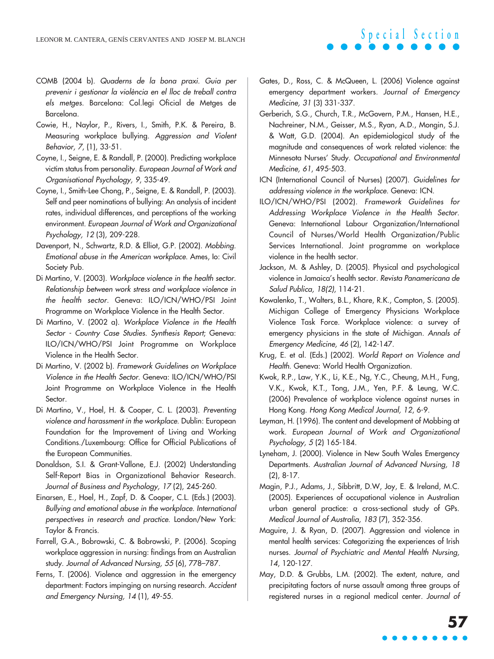- COMB (2004 b). Quaderns de la bona praxi. Guia per prevenir i gestionar la violència en el lloc de treball contra els metges. Barcelona: Col.legi Oficial de Metges de Barcelona.
- Cowie, H., Naylor, P., Rivers, I., Smith, P.K. & Pereira, B. Measuring workplace bullying. Aggression and Violent Behavior, 7, (1), 33-51.
- Coyne, I., Seigne, E. & Randall, P. (2000). Predicting workplace victim status from personality. European Journal of Work and Organisational Psychology, 9, 335-49.
- Coyne, I., Smith-Lee Chong, P., Seigne, E. & Randall, P. (2003). Self and peer nominations of bullying: An analysis of incident rates, individual differences, and perceptions of the working environment. European Journal of Work and Organizational Psychology, 12 (3), 209-228.
- Davenport, N., Schwartz, R.D. & Elliot, G.P. (2002). Mobbing. Emotional abuse in the American workplace. Ames, Io: Civil Society Pub.
- Di Martino, V. (2003). Workplace violence in the health sector. Relationship between work stress and workplace violence in the health sector. Geneva: ILO/ICN/WHO/PSI Joint Programme on Workplace Violence in the Health Sector.
- Di Martino, V. (2002 a). Workplace Violence in the Health Sector - Country Case Studies. Synthesis Report; Geneva: ILO/ICN/WHO/PSI Joint Programme on Workplace Violence in the Health Sector.
- Di Martino, V. (2002 b). Framework Guidelines on Workplace Violence in the Health Sector. Geneva: ILO/ICN/WHO/PSI Joint Programme on Workplace Violence in the Health Sector.
- Di Martino, V., Hoel, H. & Cooper, C. L. (2003). Preventing violence and harassment in the workplace. Dublin: European Foundation for the Improvement of Living and Working Conditions./Luxembourg: Office for Official Publications of the European Communities.
- Donaldson, S.I. & Grant-Vallone, E.J. (2002) Understanding Self-Report Bias in Organizational Behavior Research. Journal of Business and Psychology, 17 (2), 245-260.
- Einarsen, E., Hoel, H., Zapf, D. & Cooper, C.L. (Eds.) (2003). Bullying and emotional abuse in the workplace. International perspectives in research and practice. London/New York: Taylor & Francis.
- Farrell, G.A., Bobrowski, C. & Bobrowski, P. (2006). Scoping workplace aggression in nursing: findings from an Australian study. Journal of Advanced Nursing, 55 (6), 778–787.
- Ferns, T. (2006). Violence and aggression in the emergency department: Factors impinging on nursing research. Accident and Emergency Nursing, 14 (1), 49-55.
- Gates, D., Ross, C. & McQueen, L. (2006) Violence against emergency department workers. Journal of Emergency Medicine, 31 (3) 331-337.
- Gerberich, S.G., Church, T.R., McGovern, P.M., Hansen, H.E., Nachreiner, N.M., Geisser, M.S., Ryan, A.D., Mongin, S.J. & Watt, G.D. (2004). An epidemiological study of the magnitude and consequences of work related violence: the Minnesota Nurses' Study. Occupational and Environmental Medicine, 61, 495-503.
- ICN (International Council of Nurses) (2007). Guidelines for addressing violence in the workplace. Geneva: ICN.
- ILO/ICN/WHO/PSI (2002). Framework Guidelines for Addressing Workplace Violence in the Health Sector. Geneva: International Labour Organization/International Council of Nurses/World Health Organization/Public Services International. Joint programme on workplace violence in the health sector.
- Jackson, M. & Ashley, D. (2005). Physical and psychological violence in Jamaica's health sector. Revista Panamericana de Salud Publica, 18(2), 114-21.
- Kowalenko, T., Walters, B.L., Khare, R.K., Compton, S. (2005). Michigan College of Emergency Physicians Workplace Violence Task Force. Workplace violence: a survey of emergency physicians in the state of Michigan. Annals of Emergency Medicine, 46 (2), 142-147.
- Krug, E. et al. (Eds.) (2002). World Report on Violence and Health. Geneva: World Health Organization.
- Kwok, R.P., Law, Y.K., Li, K.E., Ng, Y.C., Cheung, M.H., Fung, V.K., Kwok, K.T., Tong, J.M., Yen, P.F. & Leung, W.C. (2006) Prevalence of workplace violence against nurses in Hong Kong. Hong Kong Medical Journal, 12, 6-9.
- Leyman, H. (1996). The content and development of Mobbing at work. European Journal of Work and Organizational Psychology, 5 (2) 165-184.
- Lyneham, J. (2000). Violence in New South Wales Emergency Departments. Australian Journal of Advanced Nursing, 18 (2), 8-17.
- Magin, P.J., Adams, J., Sibbritt, D.W, Joy, E. & Ireland, M.C. (2005). Experiences of occupational violence in Australian urban general practice: a cross-sectional study of GPs. Medical Journal of Australia, 183 (7), 352-356.
- Maguire, J. & Ryan, D. (2007). Aggression and violence in mental health services: Categorizing the experiences of Irish nurses. Journal of Psychiatric and Mental Health Nursing, 14, 120-127.
- May, D.D. & Grubbs, L.M. (2002). The extent, nature, and precipitating factors of nurse assault among three groups of registered nurses in a regional medical center. Journal of